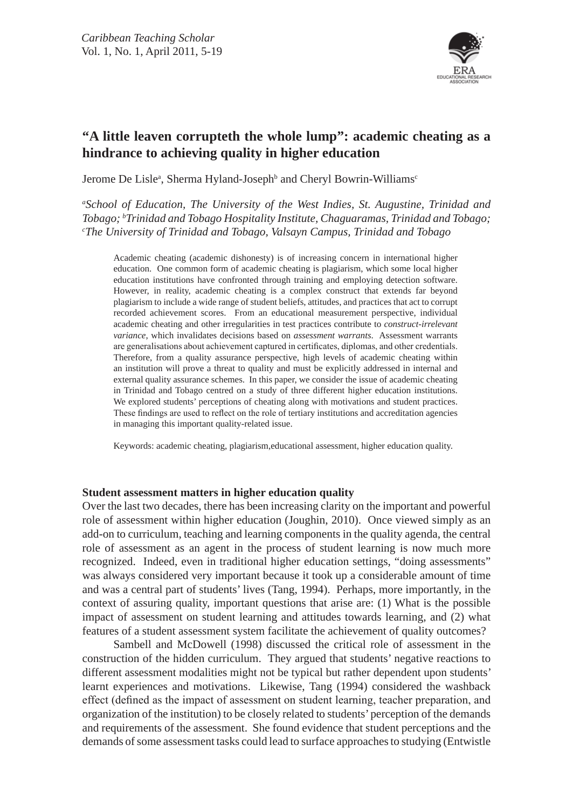

# **"A little leaven corrupteth the whole lump": academic cheating as a hindrance to achieving quality in higher education**

Jerome De Lisle<sup>a</sup>, Sherma Hyland-Joseph<sup>b</sup> and Cheryl Bowrin-Williams<sup>c</sup>

*a School of Education, The University of the West Indies, St. Augustine, Trinidad and Tobago; b Trinidad and Tobago Hospitality Institute, Chaguaramas, Trinidad and Tobago; c The University of Trinidad and Tobago, Valsayn Campus, Trinidad and Tobago*

Academic cheating (academic dishonesty) is of increasing concern in international higher education. One common form of academic cheating is plagiarism, which some local higher education institutions have confronted through training and employing detection software. However, in reality, academic cheating is a complex construct that extends far beyond plagiarism to include a wide range of student beliefs, attitudes, and practices that act to corrupt recorded achievement scores. From an educational measurement perspective, individual academic cheating and other irregularities in test practices contribute to *construct-irrelevant variance*, which invalidates decisions based on *assessment warrants*. Assessment warrants are generalisations about achievement captured in certificates, diplomas, and other credentials. Therefore, from a quality assurance perspective, high levels of academic cheating within an institution will prove a threat to quality and must be explicitly addressed in internal and external quality assurance schemes. In this paper, we consider the issue of academic cheating in Trinidad and Tobago centred on a study of three different higher education institutions. We explored students' perceptions of cheating along with motivations and student practices. These findings are used to reflect on the role of tertiary institutions and accreditation agencies in managing this important quality-related issue.

Keywords: academic cheating, plagiarism,educational assessment, higher education quality.

## **Student assessment matters in higher education quality**

Over the last two decades, there has been increasing clarity on the important and powerful role of assessment within higher education (Joughin, 2010). Once viewed simply as an add-on to curriculum, teaching and learning components in the quality agenda, the central role of assessment as an agent in the process of student learning is now much more recognized. Indeed, even in traditional higher education settings, "doing assessments" was always considered very important because it took up a considerable amount of time and was a central part of students' lives (Tang, 1994). Perhaps, more importantly, in the context of assuring quality, important questions that arise are: (1) What is the possible impact of assessment on student learning and attitudes towards learning, and (2) what features of a student assessment system facilitate the achievement of quality outcomes?

Sambell and McDowell (1998) discussed the critical role of assessment in the construction of the hidden curriculum. They argued that students' negative reactions to different assessment modalities might not be typical but rather dependent upon students' learnt experiences and motivations. Likewise, Tang (1994) considered the washback effect (defined as the impact of assessment on student learning, teacher preparation, and organization of the institution) to be closely related to students' perception of the demands and requirements of the assessment. She found evidence that student perceptions and the demands of some assessment tasks could lead to surface approaches to studying (Entwistle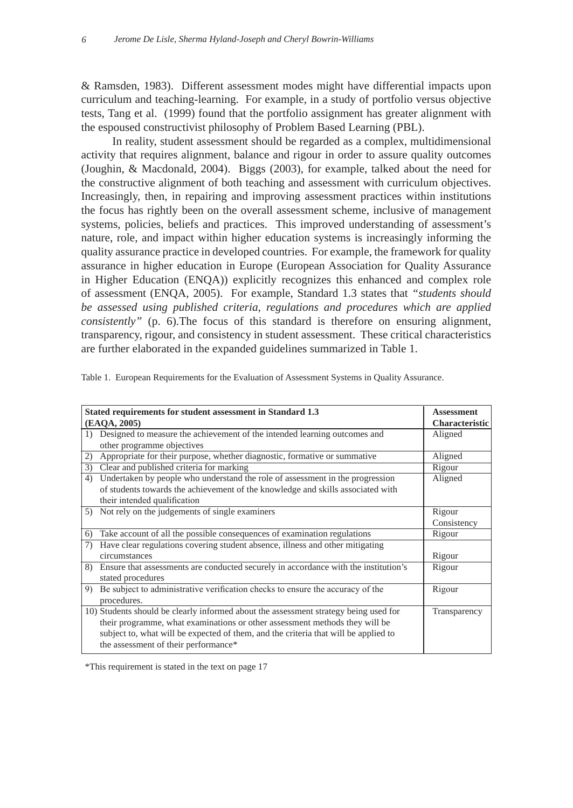& Ramsden, 1983). Different assessment modes might have differential impacts upon curriculum and teaching-learning. For example, in a study of portfolio versus objective tests, Tang et al. (1999) found that the portfolio assignment has greater alignment with the espoused constructivist philosophy of Problem Based Learning (PBL).

In reality, student assessment should be regarded as a complex, multidimensional activity that requires alignment, balance and rigour in order to assure quality outcomes (Joughin, & Macdonald, 2004). Biggs (2003), for example, talked about the need for the constructive alignment of both teaching and assessment with curriculum objectives. Increasingly, then, in repairing and improving assessment practices within institutions the focus has rightly been on the overall assessment scheme, inclusive of management systems, policies, beliefs and practices. This improved understanding of assessment's nature, role, and impact within higher education systems is increasingly informing the quality assurance practice in developed countries. For example, the framework for quality assurance in higher education in Europe (European Association for Quality Assurance in Higher Education (ENQA)) explicitly recognizes this enhanced and complex role of assessment (ENQA, 2005). For example, Standard 1.3 states that *"students should be assessed using published criteria, regulations and procedures which are applied consistently*" (p. 6). The focus of this standard is therefore on ensuring alignment, transparency, rigour, and consistency in student assessment. These critical characteristics are further elaborated in the expanded guidelines summarized in Table 1.

| Stated requirements for student assessment in Standard 1.3                                    | <b>Assessment</b>     |
|-----------------------------------------------------------------------------------------------|-----------------------|
| (EAQA, 2005)                                                                                  | <b>Characteristic</b> |
| Designed to measure the achievement of the intended learning outcomes and<br>$\left( \right)$ | Aligned               |
| other programme objectives                                                                    |                       |
| Appropriate for their purpose, whether diagnostic, formative or summative<br>2)               | Aligned               |
| Clear and published criteria for marking<br>3)                                                | Rigour                |
| Undertaken by people who understand the role of assessment in the progression<br>4)           | Aligned               |
| of students towards the achievement of the knowledge and skills associated with               |                       |
| their intended qualification                                                                  |                       |
| Not rely on the judgements of single examiners<br>5)                                          | Rigour                |
|                                                                                               | Consistency           |
| Take account of all the possible consequences of examination regulations<br>6)                | Rigour                |
| Have clear regulations covering student absence, illness and other mitigating                 |                       |
| circumstances                                                                                 | Rigour                |
| 8) Ensure that assessments are conducted securely in accordance with the institution's        | Rigour                |
| stated procedures                                                                             |                       |
| Be subject to administrative verification checks to ensure the accuracy of the<br>9)          | Rigour                |
| procedures.                                                                                   |                       |
| 10) Students should be clearly informed about the assessment strategy being used for          | Transparency          |
| their programme, what examinations or other assessment methods they will be                   |                       |
| subject to, what will be expected of them, and the criteria that will be applied to           |                       |
| the assessment of their performance*                                                          |                       |

Table 1. European Requirements for the Evaluation of Assessment Systems in Quality Assurance.

\*This requirement is stated in the text on page 17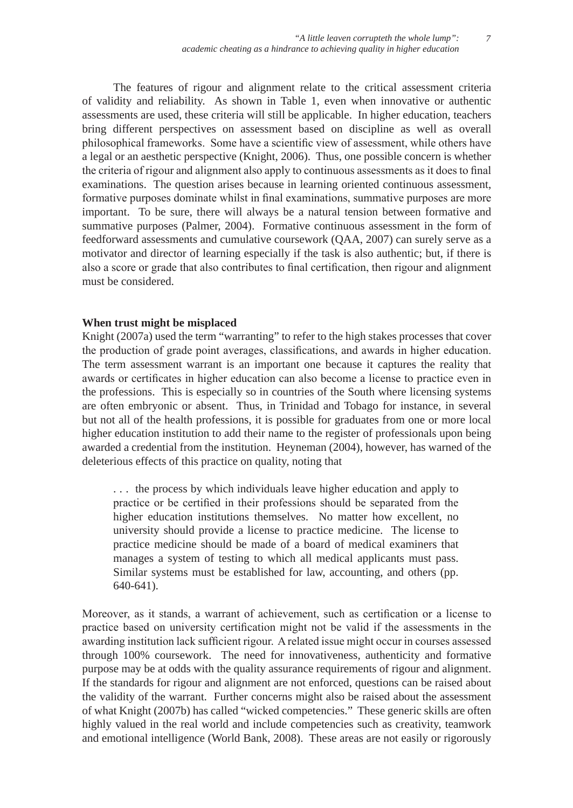The features of rigour and alignment relate to the critical assessment criteria of validity and reliability. As shown in Table 1, even when innovative or authentic assessments are used, these criteria will still be applicable. In higher education, teachers bring different perspectives on assessment based on discipline as well as overall philosophical frameworks. Some have a scientific view of assessment, while others have a legal or an aesthetic perspective (Knight, 2006). Thus, one possible concern is whether the criteria of rigour and alignment also apply to continuous assessments as it does to final examinations. The question arises because in learning oriented continuous assessment, formative purposes dominate whilst in final examinations, summative purposes are more important. To be sure, there will always be a natural tension between formative and summative purposes (Palmer, 2004). Formative continuous assessment in the form of feedforward assessments and cumulative coursework (QAA, 2007) can surely serve as a motivator and director of learning especially if the task is also authentic; but, if there is also a score or grade that also contributes to final certification, then rigour and alignment must be considered.

## **When trust might be misplaced**

Knight (2007a) used the term "warranting" to refer to the high stakes processes that cover the production of grade point averages, classifications, and awards in higher education. The term assessment warrant is an important one because it captures the reality that awards or certificates in higher education can also become a license to practice even in the professions. This is especially so in countries of the South where licensing systems are often embryonic or absent. Thus, in Trinidad and Tobago for instance, in several but not all of the health professions, it is possible for graduates from one or more local higher education institution to add their name to the register of professionals upon being awarded a credential from the institution. Heyneman (2004), however, has warned of the deleterious effects of this practice on quality, noting that

. . . the process by which individuals leave higher education and apply to practice or be certified in their professions should be separated from the higher education institutions themselves. No matter how excellent, no university should provide a license to practice medicine. The license to practice medicine should be made of a board of medical examiners that manages a system of testing to which all medical applicants must pass. Similar systems must be established for law, accounting, and others (pp. 640-641).

Moreover, as it stands, a warrant of achievement, such as certification or a license to practice based on university certification might not be valid if the assessments in the awarding institution lack sufficient rigour. A related issue might occur in courses assessed through 100% coursework. The need for innovativeness, authenticity and formative purpose may be at odds with the quality assurance requirements of rigour and alignment. If the standards for rigour and alignment are not enforced, questions can be raised about the validity of the warrant. Further concerns might also be raised about the assessment of what Knight (2007b) has called "wicked competencies." These generic skills are often highly valued in the real world and include competencies such as creativity, teamwork and emotional intelligence (World Bank, 2008). These areas are not easily or rigorously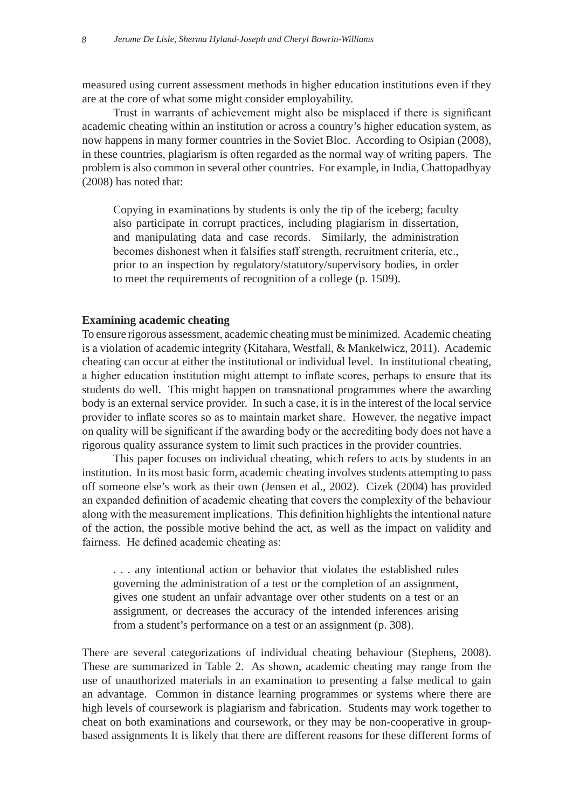measured using current assessment methods in higher education institutions even if they are at the core of what some might consider employability.

Trust in warrants of achievement might also be misplaced if there is significant academic cheating within an institution or across a country's higher education system, as now happens in many former countries in the Soviet Bloc. According to Osipian (2008), in these countries, plagiarism is often regarded as the normal way of writing papers. The problem is also common in several other countries. For example, in India, Chattopadhyay (2008) has noted that:

Copying in examinations by students is only the tip of the iceberg; faculty also participate in corrupt practices, including plagiarism in dissertation, and manipulating data and case records. Similarly, the administration becomes dishonest when it falsifies staff strength, recruitment criteria, etc., prior to an inspection by regulatory/statutory/supervisory bodies, in order to meet the requirements of recognition of a college (p. 1509).

## **Examining academic cheating**

To ensure rigorous assessment, academic cheating must be minimized. Academic cheating is a violation of academic integrity (Kitahara, Westfall, & Mankelwicz, 2011). Academic cheating can occur at either the institutional or individual level. In institutional cheating, a higher education institution might attempt to inflate scores, perhaps to ensure that its students do well. This might happen on transnational programmes where the awarding body is an external service provider. In such a case, it is in the interest of the local service provider to inflate scores so as to maintain market share. However, the negative impact on quality will be significant if the awarding body or the accrediting body does not have a rigorous quality assurance system to limit such practices in the provider countries.

This paper focuses on individual cheating, which refers to acts by students in an institution. In its most basic form, academic cheating involves students attempting to pass off someone else's work as their own (Jensen et al., 2002). Cizek (2004) has provided an expanded definition of academic cheating that covers the complexity of the behaviour along with the measurement implications. This definition highlights the intentional nature of the action, the possible motive behind the act, as well as the impact on validity and fairness. He defined academic cheating as:

. . . any intentional action or behavior that violates the established rules governing the administration of a test or the completion of an assignment, gives one student an unfair advantage over other students on a test or an assignment, or decreases the accuracy of the intended inferences arising from a student's performance on a test or an assignment (p. 308).

There are several categorizations of individual cheating behaviour (Stephens, 2008). These are summarized in Table 2. As shown, academic cheating may range from the use of unauthorized materials in an examination to presenting a false medical to gain an advantage. Common in distance learning programmes or systems where there are high levels of coursework is plagiarism and fabrication. Students may work together to cheat on both examinations and coursework, or they may be non-cooperative in groupbased assignments It is likely that there are different reasons for these different forms of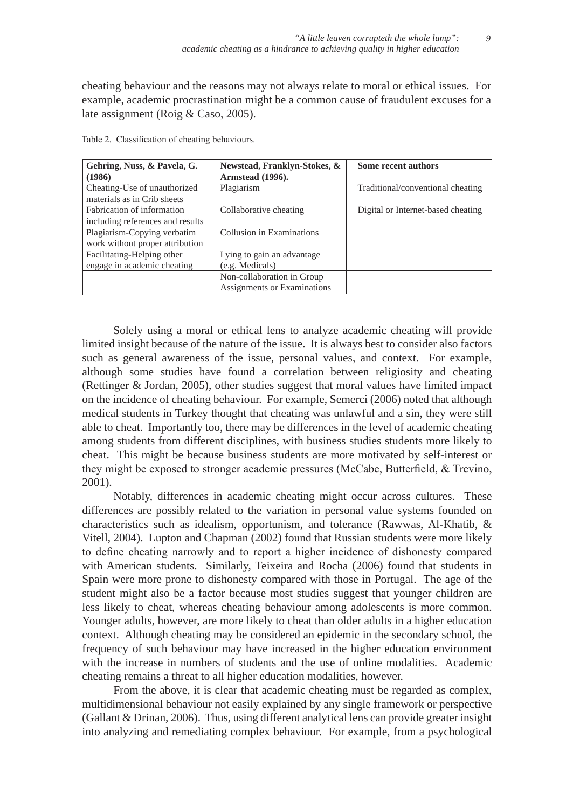cheating behaviour and the reasons may not always relate to moral or ethical issues. For example, academic procrastination might be a common cause of fraudulent excuses for a late assignment (Roig & Caso, 2005).

| Gehring, Nuss, & Pavela, G.<br>(1986)                          | Newstead, Franklyn-Stokes, &<br>Armstead (1996).          | <b>Some recent authors</b>         |
|----------------------------------------------------------------|-----------------------------------------------------------|------------------------------------|
| Cheating-Use of unauthorized<br>materials as in Crib sheets    | Plagiarism                                                | Traditional/conventional cheating  |
| Fabrication of information<br>including references and results | Collaborative cheating                                    | Digital or Internet-based cheating |
| Plagiarism-Copying verbatim<br>work without proper attribution | Collusion in Examinations                                 |                                    |
| Facilitating-Helping other<br>engage in academic cheating      | Lying to gain an advantage<br>(e.g. Medicals)             |                                    |
|                                                                | Non-collaboration in Group<br>Assignments or Examinations |                                    |

Table 2. Classification of cheating behaviours.

Solely using a moral or ethical lens to analyze academic cheating will provide limited insight because of the nature of the issue. It is always best to consider also factors such as general awareness of the issue, personal values, and context. For example, although some studies have found a correlation between religiosity and cheating (Rettinger & Jordan, 2005), other studies suggest that moral values have limited impact on the incidence of cheating behaviour. For example, Semerci (2006) noted that although medical students in Turkey thought that cheating was unlawful and a sin, they were still able to cheat. Importantly too, there may be differences in the level of academic cheating among students from different disciplines, with business studies students more likely to cheat. This might be because business students are more motivated by self-interest or they might be exposed to stronger academic pressures (McCabe, Butterfield, & Trevino, 2001).

Notably, differences in academic cheating might occur across cultures. These differences are possibly related to the variation in personal value systems founded on characteristics such as idealism, opportunism, and tolerance (Rawwas, Al-Khatib, & Vitell, 2004). Lupton and Chapman (2002) found that Russian students were more likely to define cheating narrowly and to report a higher incidence of dishonesty compared with American students. Similarly, Teixeira and Rocha (2006) found that students in Spain were more prone to dishonesty compared with those in Portugal. The age of the student might also be a factor because most studies suggest that younger children are less likely to cheat, whereas cheating behaviour among adolescents is more common. Younger adults, however, are more likely to cheat than older adults in a higher education context. Although cheating may be considered an epidemic in the secondary school, the frequency of such behaviour may have increased in the higher education environment with the increase in numbers of students and the use of online modalities. Academic cheating remains a threat to all higher education modalities, however.

From the above, it is clear that academic cheating must be regarded as complex, multidimensional behaviour not easily explained by any single framework or perspective (Gallant & Drinan, 2006). Thus, using different analytical lens can provide greater insight into analyzing and remediating complex behaviour. For example, from a psychological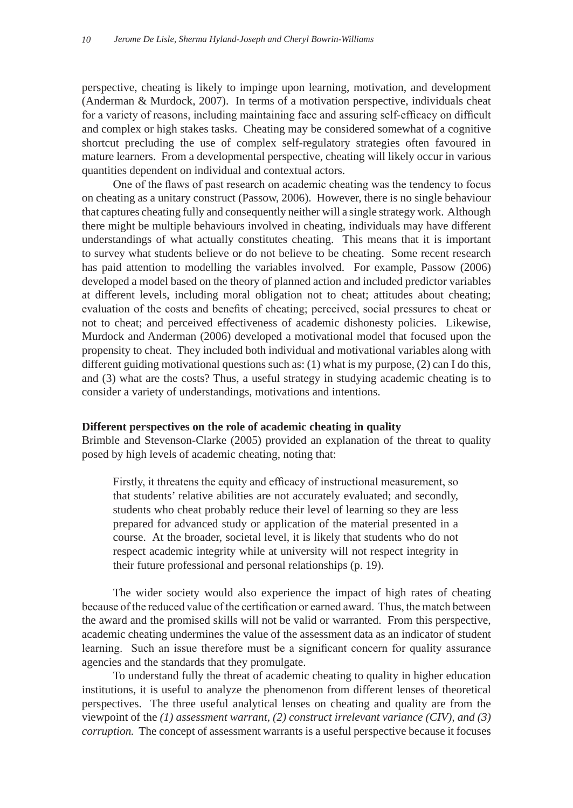perspective, cheating is likely to impinge upon learning, motivation, and development (Anderman & Murdock, 2007). In terms of a motivation perspective, individuals cheat for a variety of reasons, including maintaining face and assuring self-efficacy on difficult and complex or high stakes tasks. Cheating may be considered somewhat of a cognitive shortcut precluding the use of complex self-regulatory strategies often favoured in mature learners. From a developmental perspective, cheating will likely occur in various quantities dependent on individual and contextual actors.

One of the flaws of past research on academic cheating was the tendency to focus on cheating as a unitary construct (Passow, 2006). However, there is no single behaviour that captures cheating fully and consequently neither will a single strategy work. Although there might be multiple behaviours involved in cheating, individuals may have different understandings of what actually constitutes cheating. This means that it is important to survey what students believe or do not believe to be cheating. Some recent research has paid attention to modelling the variables involved. For example, Passow (2006) developed a model based on the theory of planned action and included predictor variables at different levels, including moral obligation not to cheat; attitudes about cheating; evaluation of the costs and benefits of cheating; perceived, social pressures to cheat or not to cheat; and perceived effectiveness of academic dishonesty policies. Likewise, Murdock and Anderman (2006) developed a motivational model that focused upon the propensity to cheat. They included both individual and motivational variables along with different guiding motivational questions such as: (1) what is my purpose, (2) can I do this, and (3) what are the costs? Thus, a useful strategy in studying academic cheating is to consider a variety of understandings, motivations and intentions.

## **Different perspectives on the role of academic cheating in quality**

Brimble and Stevenson-Clarke (2005) provided an explanation of the threat to quality posed by high levels of academic cheating, noting that:

Firstly, it threatens the equity and efficacy of instructional measurement, so that students' relative abilities are not accurately evaluated; and secondly, students who cheat probably reduce their level of learning so they are less prepared for advanced study or application of the material presented in a course. At the broader, societal level, it is likely that students who do not respect academic integrity while at university will not respect integrity in their future professional and personal relationships (p. 19).

The wider society would also experience the impact of high rates of cheating because of the reduced value of the certification or earned award. Thus, the match between the award and the promised skills will not be valid or warranted. From this perspective, academic cheating undermines the value of the assessment data as an indicator of student learning. Such an issue therefore must be a significant concern for quality assurance agencies and the standards that they promulgate.

To understand fully the threat of academic cheating to quality in higher education institutions, it is useful to analyze the phenomenon from different lenses of theoretical perspectives. The three useful analytical lenses on cheating and quality are from the viewpoint of the *(1) assessment warrant, (2) construct irrelevant variance (CIV), and (3) corruption.* The concept of assessment warrants is a useful perspective because it focuses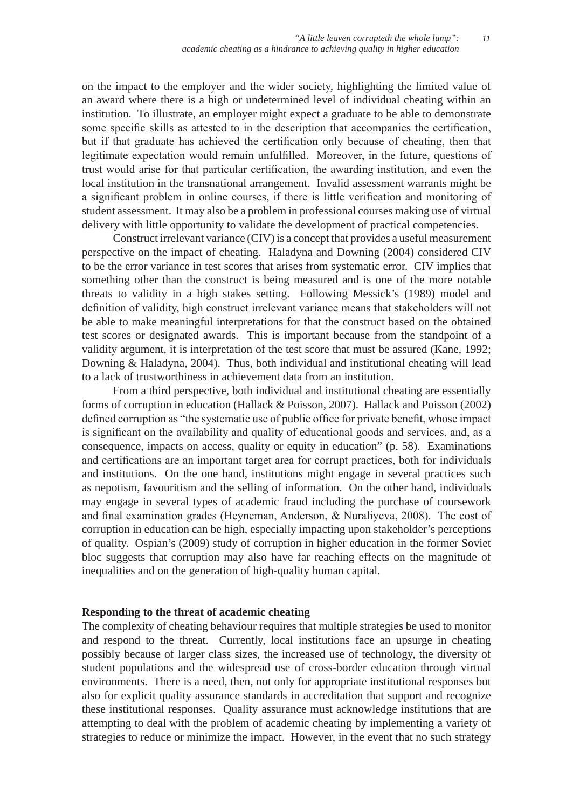on the impact to the employer and the wider society, highlighting the limited value of an award where there is a high or undetermined level of individual cheating within an institution. To illustrate, an employer might expect a graduate to be able to demonstrate some specific skills as attested to in the description that accompanies the certification, but if that graduate has achieved the certification only because of cheating, then that legitimate expectation would remain unfulfilled. Moreover, in the future, questions of trust would arise for that particular certification, the awarding institution, and even the local institution in the transnational arrangement. Invalid assessment warrants might be a significant problem in online courses, if there is little verification and monitoring of student assessment. It may also be a problem in professional courses making use of virtual delivery with little opportunity to validate the development of practical competencies.

Construct irrelevant variance (CIV) is a concept that provides a useful measurement perspective on the impact of cheating. Haladyna and Downing (2004) considered CIV to be the error variance in test scores that arises from systematic error. CIV implies that something other than the construct is being measured and is one of the more notable threats to validity in a high stakes setting. Following Messick's (1989) model and definition of validity, high construct irrelevant variance means that stakeholders will not be able to make meaningful interpretations for that the construct based on the obtained test scores or designated awards. This is important because from the standpoint of a validity argument, it is interpretation of the test score that must be assured (Kane, 1992; Downing & Haladyna, 2004). Thus, both individual and institutional cheating will lead to a lack of trustworthiness in achievement data from an institution.

From a third perspective, both individual and institutional cheating are essentially forms of corruption in education (Hallack & Poisson, 2007). Hallack and Poisson (2002) defined corruption as "the systematic use of public office for private benefit, whose impact is significant on the availability and quality of educational goods and services, and, as a consequence, impacts on access, quality or equity in education" (p. 58). Examinations and certifications are an important target area for corrupt practices, both for individuals and institutions. On the one hand, institutions might engage in several practices such as nepotism, favouritism and the selling of information. On the other hand, individuals may engage in several types of academic fraud including the purchase of coursework and final examination grades (Heyneman, Anderson, & Nuraliyeva, 2008). The cost of corruption in education can be high, especially impacting upon stakeholder's perceptions of quality. Ospian's (2009) study of corruption in higher education in the former Soviet bloc suggests that corruption may also have far reaching effects on the magnitude of inequalities and on the generation of high-quality human capital.

# **Responding to the threat of academic cheating**

The complexity of cheating behaviour requires that multiple strategies be used to monitor and respond to the threat. Currently, local institutions face an upsurge in cheating possibly because of larger class sizes, the increased use of technology, the diversity of student populations and the widespread use of cross-border education through virtual environments. There is a need, then, not only for appropriate institutional responses but also for explicit quality assurance standards in accreditation that support and recognize these institutional responses. Quality assurance must acknowledge institutions that are attempting to deal with the problem of academic cheating by implementing a variety of strategies to reduce or minimize the impact. However, in the event that no such strategy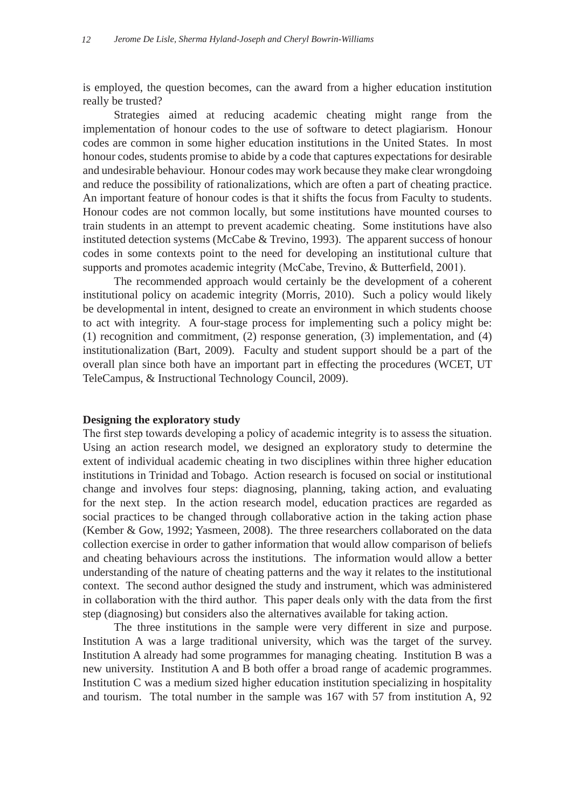is employed, the question becomes, can the award from a higher education institution really be trusted?

Strategies aimed at reducing academic cheating might range from the implementation of honour codes to the use of software to detect plagiarism. Honour codes are common in some higher education institutions in the United States. In most honour codes, students promise to abide by a code that captures expectations for desirable and undesirable behaviour. Honour codes may work because they make clear wrongdoing and reduce the possibility of rationalizations, which are often a part of cheating practice. An important feature of honour codes is that it shifts the focus from Faculty to students. Honour codes are not common locally, but some institutions have mounted courses to train students in an attempt to prevent academic cheating. Some institutions have also instituted detection systems (McCabe & Trevino, 1993). The apparent success of honour codes in some contexts point to the need for developing an institutional culture that supports and promotes academic integrity (McCabe, Trevino, & Butterfield, 2001).

The recommended approach would certainly be the development of a coherent institutional policy on academic integrity (Morris, 2010). Such a policy would likely be developmental in intent, designed to create an environment in which students choose to act with integrity. A four-stage process for implementing such a policy might be: (1) recognition and commitment, (2) response generation, (3) implementation, and (4) institutionalization (Bart, 2009). Faculty and student support should be a part of the overall plan since both have an important part in effecting the procedures (WCET, UT TeleCampus, & Instructional Technology Council, 2009).

#### **Designing the exploratory study**

The first step towards developing a policy of academic integrity is to assess the situation. Using an action research model, we designed an exploratory study to determine the extent of individual academic cheating in two disciplines within three higher education institutions in Trinidad and Tobago. Action research is focused on social or institutional change and involves four steps: diagnosing, planning, taking action, and evaluating for the next step. In the action research model, education practices are regarded as social practices to be changed through collaborative action in the taking action phase (Kember & Gow, 1992; Yasmeen, 2008). The three researchers collaborated on the data collection exercise in order to gather information that would allow comparison of beliefs and cheating behaviours across the institutions. The information would allow a better understanding of the nature of cheating patterns and the way it relates to the institutional context. The second author designed the study and instrument, which was administered in collaboration with the third author. This paper deals only with the data from the first step (diagnosing) but considers also the alternatives available for taking action.

The three institutions in the sample were very different in size and purpose. Institution A was a large traditional university, which was the target of the survey. Institution A already had some programmes for managing cheating. Institution B was a new university. Institution A and B both offer a broad range of academic programmes. Institution C was a medium sized higher education institution specializing in hospitality and tourism. The total number in the sample was 167 with 57 from institution A, 92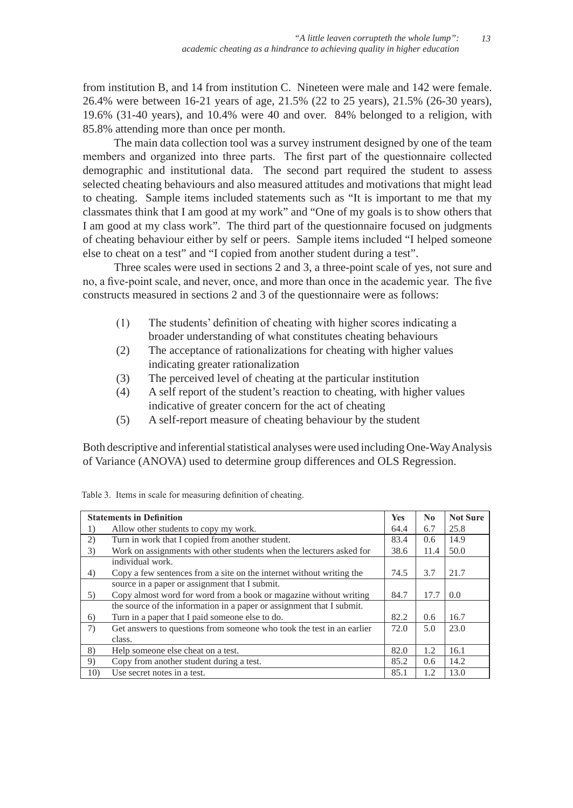from institution B, and 14 from institution C. Nineteen were male and 142 were female. 26.4% were between 16-21 years of age, 21.5% (22 to 25 years), 21.5% (26-30 years), 19.6% (31-40 years), and 10.4% were 40 and over. 84% belonged to a religion, with 85.8% attending more than once per month.

The main data collection tool was a survey instrument designed by one of the team members and organized into three parts. The first part of the questionnaire collected demographic and institutional data. The second part required the student to assess selected cheating behaviours and also measured attitudes and motivations that might lead to cheating. Sample items included statements such as "It is important to me that my classmates think that I am good at my work" and "One of my goals is to show others that I am good at my class work". The third part of the questionnaire focused on judgments of cheating behaviour either by self or peers. Sample items included "I helped someone else to cheat on a test" and "I copied from another student during a test".

Three scales were used in sections 2 and 3, a three-point scale of yes, not sure and no, a five-point scale, and never, once, and more than once in the academic year. The five constructs measured in sections 2 and 3 of the questionnaire were as follows:

- (1) The students' definition of cheating with higher scores indicating a broader understanding of what constitutes cheating behaviours
- (2) The acceptance of rationalizations for cheating with higher values indicating greater rationalization
- (3) The perceived level of cheating at the particular institution
- (4) A self report of the student's reaction to cheating, with higher values indicative of greater concern for the act of cheating
- (5) A self-report measure of cheating behaviour by the student

Both descriptive and inferential statistical analyses were used including One-Way Analysis of Variance (ANOVA) used to determine group differences and OLS Regression.

|     | <b>Statements in Definition</b>                                       | <b>Yes</b> | $\bf No$ | <b>Not Sure</b> |
|-----|-----------------------------------------------------------------------|------------|----------|-----------------|
| 1)  | Allow other students to copy my work.                                 | 64.4       | 6.7      | 25.8            |
| 2)  | Turn in work that I copied from another student.                      | 83.4       | 0.6      | 14.9            |
| 3)  | Work on assignments with other students when the lecturers asked for  | 38.6       | 11.4     | 50.0            |
|     | individual work.                                                      |            |          |                 |
| 4)  | Copy a few sentences from a site on the internet without writing the  | 74.5       | 3.7      | 21.7            |
|     | source in a paper or assignment that I submit.                        |            |          |                 |
| 5)  | Copy almost word for word from a book or magazine without writing     | 84.7       | 17.7     | 0.0             |
|     | the source of the information in a paper or assignment that I submit. |            |          |                 |
| 6)  | Turn in a paper that I paid someone else to do.                       | 82.2       | 0.6      | 16.7            |
| 7)  | Get answers to questions from someone who took the test in an earlier | 72.0       | 5.0      | 23.0            |
|     | class.                                                                |            |          |                 |
| 8)  | Help someone else cheat on a test.                                    | 82.0       | 1.2      | 16.1            |
| 9)  | Copy from another student during a test.                              | 85.2       | 0.6      | 14.2            |
| 10) | Use secret notes in a test.                                           | 85.1       | 1.2      | 13.0            |

|  |  | Table 3. Items in scale for measuring definition of cheating. |
|--|--|---------------------------------------------------------------|
|  |  |                                                               |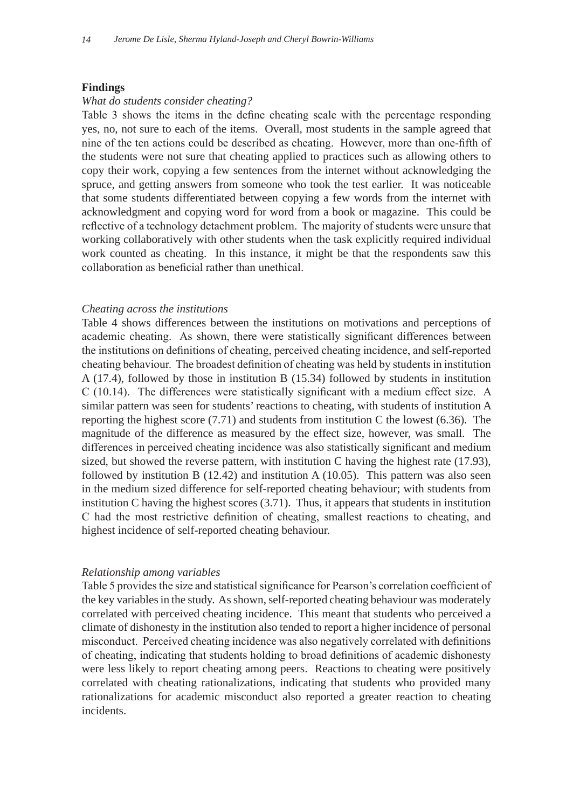## **Findings**

#### *What do students consider cheating?*

Table 3 shows the items in the define cheating scale with the percentage responding yes, no, not sure to each of the items. Overall, most students in the sample agreed that nine of the ten actions could be described as cheating. However, more than one-fifth of the students were not sure that cheating applied to practices such as allowing others to copy their work, copying a few sentences from the internet without acknowledging the spruce, and getting answers from someone who took the test earlier. It was noticeable that some students differentiated between copying a few words from the internet with acknowledgment and copying word for word from a book or magazine. This could be reflective of a technology detachment problem. The majority of students were unsure that working collaboratively with other students when the task explicitly required individual work counted as cheating. In this instance, it might be that the respondents saw this collaboration as beneficial rather than unethical.

#### *Cheating across the institutions*

Table 4 shows differences between the institutions on motivations and perceptions of academic cheating. As shown, there were statistically significant differences between the institutions on definitions of cheating, perceived cheating incidence, and self-reported cheating behaviour. The broadest definition of cheating was held by students in institution A (17.4), followed by those in institution B (15.34) followed by students in institution C (10.14). The differences were statistically significant with a medium effect size. A similar pattern was seen for students' reactions to cheating, with students of institution A reporting the highest score  $(7.71)$  and students from institution C the lowest  $(6.36)$ . The magnitude of the difference as measured by the effect size, however, was small. The differences in perceived cheating incidence was also statistically significant and medium sized, but showed the reverse pattern, with institution C having the highest rate (17.93), followed by institution B  $(12.42)$  and institution A  $(10.05)$ . This pattern was also seen in the medium sized difference for self-reported cheating behaviour; with students from institution C having the highest scores (3.71). Thus, it appears that students in institution C had the most restrictive definition of cheating, smallest reactions to cheating, and highest incidence of self-reported cheating behaviour.

### *Relationship among variables*

Table 5 provides the size and statistical significance for Pearson's correlation coefficient of the key variables in the study. As shown, self-reported cheating behaviour was moderately correlated with perceived cheating incidence. This meant that students who perceived a climate of dishonesty in the institution also tended to report a higher incidence of personal misconduct. Perceived cheating incidence was also negatively correlated with definitions of cheating, indicating that students holding to broad definitions of academic dishonesty were less likely to report cheating among peers. Reactions to cheating were positively correlated with cheating rationalizations, indicating that students who provided many rationalizations for academic misconduct also reported a greater reaction to cheating incidents.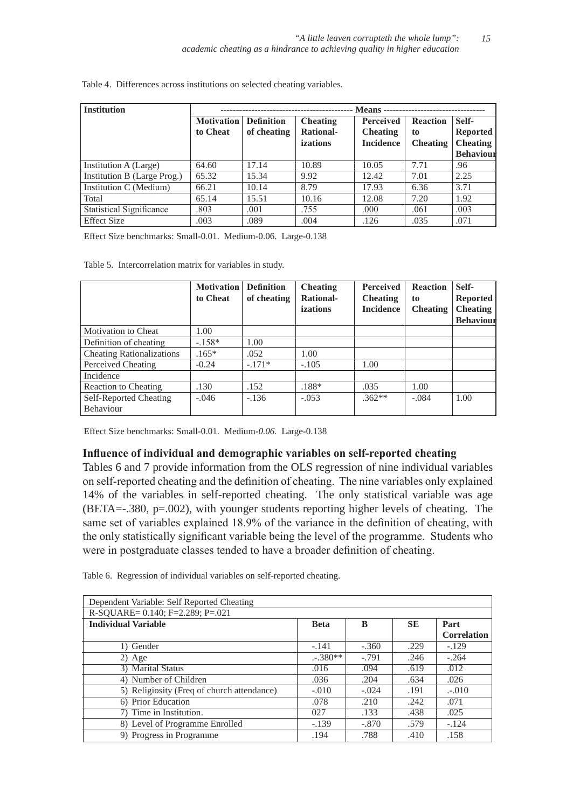| <b>Institution</b>              | - Means -         |                   |                  |                  |                 |                  |
|---------------------------------|-------------------|-------------------|------------------|------------------|-----------------|------------------|
|                                 | <b>Motivation</b> | <b>Definition</b> | Cheating         | Perceived        | <b>Reaction</b> | Self-            |
|                                 | to Cheat          | of cheating       | <b>Rational-</b> | <b>Cheating</b>  | to              | <b>Reported</b>  |
|                                 |                   |                   | izations         | <b>Incidence</b> | <b>Cheating</b> | <b>Cheating</b>  |
|                                 |                   |                   |                  |                  |                 | <b>Behaviour</b> |
| Institution A (Large)           | 64.60             | 17.14             | 10.89            | 10.05            | 7.71            | .96              |
| Institution B (Large Prog.)     | 65.32             | 15.34             | 9.92             | 12.42            | 7.01            | 2.25             |
| Institution C (Medium)          | 66.21             | 10.14             | 8.79             | 17.93            | 6.36            | 3.71             |
| Total                           | 65.14             | 15.51             | 10.16            | 12.08            | 7.20            | 1.92             |
| <b>Statistical Significance</b> | .803              | .001              | .755             | .000             | .061            | .003             |
| <b>Effect Size</b>              | .003              | .089              | .004             | .126             | .035            | .071             |

Table 4. Differences across institutions on selected cheating variables.

Effect Size benchmarks: Small-0.01. Medium-0.06. Large-0.138

Table 5. Intercorrelation matrix for variables in study.

|                                  | <b>Motivation</b><br>to Cheat | <b>Definition</b><br>of cheating | Cheating<br><b>Rational-</b><br>izations | <b>Perceived</b><br><b>Cheating</b><br><b>Incidence</b> | <b>Reaction</b><br>to<br><b>Cheating</b> | Self-<br>Reported<br><b>Cheating</b><br><b>Behaviour</b> |
|----------------------------------|-------------------------------|----------------------------------|------------------------------------------|---------------------------------------------------------|------------------------------------------|----------------------------------------------------------|
| Motivation to Cheat              | 1.00                          |                                  |                                          |                                                         |                                          |                                                          |
| Definition of cheating           | $-158*$                       | 1.00                             |                                          |                                                         |                                          |                                                          |
| <b>Cheating Rationalizations</b> | $.165*$                       | .052                             | 1.00                                     |                                                         |                                          |                                                          |
| Perceived Cheating               | $-0.24$                       | $-.171*$                         | $-.105$                                  | 1.00                                                    |                                          |                                                          |
| Incidence                        |                               |                                  |                                          |                                                         |                                          |                                                          |
| Reaction to Cheating             | .130                          | .152                             | .188*                                    | .035                                                    | 1.00                                     |                                                          |
| Self-Reported Cheating           | $-.046$                       | $-.136$                          | $-.053$                                  | $.362**$                                                | $-.084$                                  | 1.00                                                     |
| Behaviour                        |                               |                                  |                                          |                                                         |                                          |                                                          |

Effect Size benchmarks: Small-0.01. Medium-*0.06.* Large-0.138

## **Influence of individual and demographic variables on self-reported cheating**

Tables 6 and 7 provide information from the OLS regression of nine individual variables on self-reported cheating and the definition of cheating. The nine variables only explained 14% of the variables in self-reported cheating. The only statistical variable was age (BETA=-.380, p=.002), with younger students reporting higher levels of cheating. The same set of variables explained 18.9% of the variance in the definition of cheating, with the only statistically significant variable being the level of the programme. Students who were in postgraduate classes tended to have a broader definition of cheating.

Table 6. Regression of individual variables on self-reported cheating.

| Dependent Variable: Self Reported Cheating            |             |         |           |                    |  |  |
|-------------------------------------------------------|-------------|---------|-----------|--------------------|--|--|
| R-SQUARE= $0.14\overline{0}$ ; F= $2.289$ ; P= $.021$ |             |         |           |                    |  |  |
| <b>Individual Variable</b>                            | <b>Beta</b> | B       | <b>SE</b> | Part               |  |  |
|                                                       |             |         |           | <b>Correlation</b> |  |  |
| 1) Gender                                             | $-.141$     | $-.360$ | .229      | $-.129$            |  |  |
| $2)$ Age                                              | $-.380**$   | $-.791$ | .246      | $-.264$            |  |  |
| 3) Marital Status                                     | .016        | .094    | .619      | .012               |  |  |
| 4) Number of Children                                 | .036        | .204    | .634      | .026               |  |  |
| 5) Religiosity (Freq of church attendance)            | $-.010$     | $-.024$ | .191      | $-.010$            |  |  |
| 6) Prior Education                                    | .078        | .210    | .242      | .071               |  |  |
| 7) Time in Institution.                               | 027         | .133    | .438      | .025               |  |  |
| 8) Level of Programme Enrolled                        | $-.139$     | $-.870$ | .579      | $-.124$            |  |  |
| 9) Progress in Programme                              | .194        | .788    | .410      | .158               |  |  |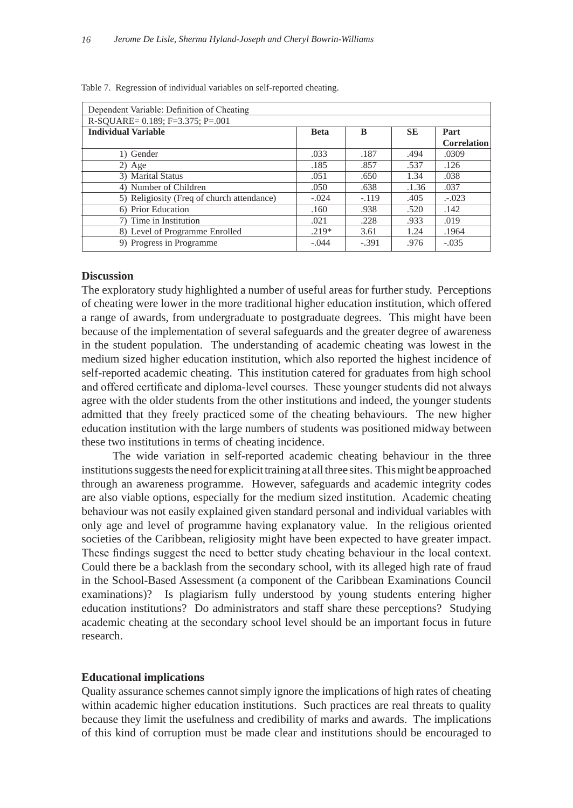| Dependent Variable: Definition of Cheating |             |         |           |                    |  |  |
|--------------------------------------------|-------------|---------|-----------|--------------------|--|--|
| R-SOUARE= $0.189$ ; F=3.375; P=.001        |             |         |           |                    |  |  |
| <b>Individual Variable</b>                 | <b>Beta</b> | B       | <b>SE</b> | Part               |  |  |
|                                            |             |         |           | <b>Correlation</b> |  |  |
| 1) Gender                                  | .033        | .187    | .494      | .0309              |  |  |
| $2)$ Age                                   | .185        | .857    | .537      | .126               |  |  |
| 3) Marital Status                          | .051        | .650    | 1.34      | .038               |  |  |
| 4) Number of Children                      | .050        | .638    | .1.36     | .037               |  |  |
| 5) Religiosity (Freq of church attendance) | $-.024$     | $-.119$ | .405      | $-.023$            |  |  |
| 6) Prior Education                         | .160        | .938    | .520      | .142               |  |  |
| 7) Time in Institution                     | .021        | .228    | .933      | .019               |  |  |
| 8) Level of Programme Enrolled             | $.219*$     | 3.61    | 1.24      | .1964              |  |  |
| 9) Progress in Programme                   | $-.044$     | $-.391$ | .976      | $-.035$            |  |  |

Table 7. Regression of individual variables on self-reported cheating.

## **Discussion**

The exploratory study highlighted a number of useful areas for further study. Perceptions of cheating were lower in the more traditional higher education institution, which offered a range of awards, from undergraduate to postgraduate degrees. This might have been because of the implementation of several safeguards and the greater degree of awareness in the student population. The understanding of academic cheating was lowest in the medium sized higher education institution, which also reported the highest incidence of self-reported academic cheating. This institution catered for graduates from high school and offered certificate and diploma-level courses. These younger students did not always agree with the older students from the other institutions and indeed, the younger students admitted that they freely practiced some of the cheating behaviours. The new higher education institution with the large numbers of students was positioned midway between these two institutions in terms of cheating incidence.

The wide variation in self-reported academic cheating behaviour in the three institutions suggests the need for explicit training at all three sites. This might be approached through an awareness programme. However, safeguards and academic integrity codes are also viable options, especially for the medium sized institution. Academic cheating behaviour was not easily explained given standard personal and individual variables with only age and level of programme having explanatory value. In the religious oriented societies of the Caribbean, religiosity might have been expected to have greater impact. These findings suggest the need to better study cheating behaviour in the local context. Could there be a backlash from the secondary school, with its alleged high rate of fraud in the School-Based Assessment (a component of the Caribbean Examinations Council examinations)? Is plagiarism fully understood by young students entering higher education institutions? Do administrators and staff share these perceptions? Studying academic cheating at the secondary school level should be an important focus in future research.

#### **Educational implications**

Quality assurance schemes cannot simply ignore the implications of high rates of cheating within academic higher education institutions. Such practices are real threats to quality because they limit the usefulness and credibility of marks and awards. The implications of this kind of corruption must be made clear and institutions should be encouraged to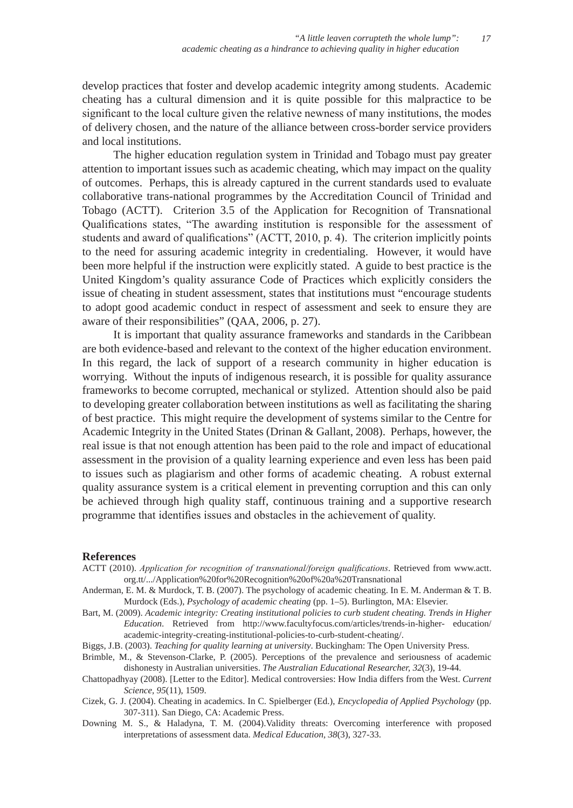develop practices that foster and develop academic integrity among students. Academic cheating has a cultural dimension and it is quite possible for this malpractice to be significant to the local culture given the relative newness of many institutions, the modes of delivery chosen, and the nature of the alliance between cross-border service providers and local institutions.

The higher education regulation system in Trinidad and Tobago must pay greater attention to important issues such as academic cheating, which may impact on the quality of outcomes. Perhaps, this is already captured in the current standards used to evaluate collaborative trans-national programmes by the Accreditation Council of Trinidad and Tobago (ACTT). Criterion 3.5 of the Application for Recognition of Transnational Qualifications states, "The awarding institution is responsible for the assessment of students and award of qualifications" (ACTT, 2010, p. 4). The criterion implicitly points to the need for assuring academic integrity in credentialing. However, it would have been more helpful if the instruction were explicitly stated. A guide to best practice is the United Kingdom's quality assurance Code of Practices which explicitly considers the issue of cheating in student assessment, states that institutions must "encourage students to adopt good academic conduct in respect of assessment and seek to ensure they are aware of their responsibilities" (QAA, 2006, p. 27).

It is important that quality assurance frameworks and standards in the Caribbean are both evidence-based and relevant to the context of the higher education environment. In this regard, the lack of support of a research community in higher education is worrying. Without the inputs of indigenous research, it is possible for quality assurance frameworks to become corrupted, mechanical or stylized. Attention should also be paid to developing greater collaboration between institutions as well as facilitating the sharing of best practice. This might require the development of systems similar to the Centre for Academic Integrity in the United States (Drinan & Gallant, 2008). Perhaps, however, the real issue is that not enough attention has been paid to the role and impact of educational assessment in the provision of a quality learning experience and even less has been paid to issues such as plagiarism and other forms of academic cheating. A robust external quality assurance system is a critical element in preventing corruption and this can only be achieved through high quality staff, continuous training and a supportive research programme that identifies issues and obstacles in the achievement of quality.

#### **References**

- ACTT (2010). *Application for recognition of transnational/foreign qualifications*. Retrieved from www.actt. org.tt/.../Application%20for%20Recognition%20of%20a%20Transnational
- Anderman, E. M. & Murdock, T. B. (2007). The psychology of academic cheating. In E. M. Anderman & T. B. Murdock (Eds.), *Psychology of academic cheating* (pp. 1–5). Burlington, MA: Elsevier.
- Bart, M. (2009). *Academic integrity: Creating institutional policies to curb student cheating. Trends in Higher Education*. Retrieved from http://www.facultyfocus.com/articles/trends-in-higher- education/ academic-integrity-creating-institutional-policies-to-curb-student-cheating/.
- Biggs, J.B. (2003). *Teaching for quality learning at university*. Buckingham: The Open University Press.
- Brimble, M., & Stevenson-Clarke, P. (2005). Perceptions of the prevalence and seriousness of academic dishonesty in Australian universities. *The Australian Educational Researcher, 32*(3), 19-44.
- Chattopadhyay (2008). [Letter to the Editor]. Medical controversies: How India differs from the West. *Current Science, 95*(11), 1509.
- Cizek, G. J. (2004). Cheating in academics. In C. Spielberger (Ed.), *Encyclopedia of Applied Psychology* (pp. 307-311). San Diego, CA: Academic Press.
- Downing M. S., & Haladyna, T. M. (2004).Validity threats: Overcoming interference with proposed interpretations of assessment data. *Medical Education, 38*(3), 327-33.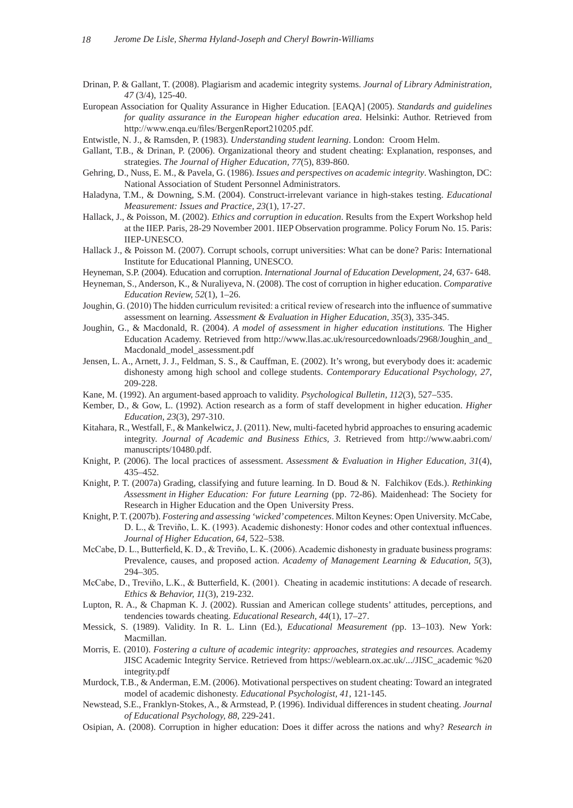- Drinan, P. & Gallant, T. (2008). Plagiarism and academic integrity systems. *Journal of Library Administration, 47* (3/4), 125-40.
- European Association for Quality Assurance in Higher Education. [EAQA] (2005). *Standards and guidelines for quality assurance in the European higher education area*. Helsinki: Author. Retrieved from http://www.enqa.eu/files/BergenReport210205.pdf.
- Entwistle, N. J., & Ramsden, P. (1983). *Understanding student learning*. London: Croom Helm.
- Gallant, T.B., & Drinan, P. (2006). Organizational theory and student cheating: Explanation, responses, and strategies. *The Journal of Higher Education, 77*(5), 839-860.
- Gehring, D., Nuss, E. M., & Pavela, G. (1986). *Issues and perspectives on academic integrity*. Washington, DC: National Association of Student Personnel Administrators.
- Haladyna, T.M., & Downing, S.M. (2004). Construct-irrelevant variance in high-stakes testing. *Educational Measurement: Issues and Practice, 23*(1), 17-27.
- Hallack, J., & Poisson, M. (2002). *Ethics and corruption in education*. Results from the Expert Workshop held at the IIEP. Paris, 28-29 November 2001. IIEP Observation programme. Policy Forum No. 15. Paris: IIEP-UNESCO.
- Hallack J., & Poisson M. (2007). Corrupt schools, corrupt universities: What can be done? Paris: International Institute for Educational Planning, UNESCO.
- Heyneman, S.P. (2004). Education and corruption. *International Journal of Education Development, 24*, 637- 648.
- Heyneman, S., Anderson, K., & Nuraliyeva, N. (2008). The cost of corruption in higher education. *Comparative Education Review, 52*(1), 1–26.
- Joughin, G. (2010) The hidden curriculum revisited: a critical review of research into the influence of summative assessment on learning. *Assessment & Evaluation in Higher Education, 35*(3), 335-345.
- Joughin, G., & Macdonald, R. (2004). *A model of assessment in higher education institutions.* The Higher Education Academy. Retrieved from http://www.llas.ac.uk/resourcedownloads/2968/Joughin\_and\_ Macdonald\_model\_assessment.pdf
- Jensen, L. A., Arnett, J. J., Feldman, S. S., & Cauffman, E. (2002). It's wrong, but everybody does it: academic dishonesty among high school and college students. *Contemporary Educational Psychology, 27*, 209-228.
- Kane, M. (1992). An argument-based approach to validity. *Psychological Bulletin, 112*(3), 527–535.
- Kember, D., & Gow, L. (1992). Action research as a form of staff development in higher education. *Higher Education, 23*(3), 297-310.
- Kitahara, R., Westfall, F., & Mankelwicz, J. (2011). New, multi-faceted hybrid approaches to ensuring academic integrity. *Journal of Academic and Business Ethics, 3.* Retrieved from http://www.aabri.com/ manuscripts/10480.pdf.
- Knight, P. (2006). The local practices of assessment. *Assessment & Evaluation in Higher Education, 31*(4), 435–452.
- Knight, P. T. (2007a) Grading, classifying and future learning. In D. Boud & N. Falchikov (Eds.). *Rethinking Assessment in Higher Education: For future Learning* (pp. 72-86). Maidenhead: The Society for Research in Higher Education and the Open University Press.
- Knight, P. T. (2007b). *Fostering and assessing 'wicked' competences*. Milton Keynes: Open University. McCabe, D. L., & Treviño, L. K. (1993). Academic dishonesty: Honor codes and other contextual influences. *Journal of Higher Education, 64,* 522–538.
- McCabe, D. L., Butterfield, K. D., & Treviño, L. K. (2006). Academic dishonesty in graduate business programs: Prevalence, causes, and proposed action. *Academy of Management Learning & Education, 5*(3), 294–305.
- McCabe, D., Treviño, L.K., & Butterfield, K. (2001). Cheating in academic institutions: A decade of research. *Ethics & Behavior, 11*(3), 219-232.
- Lupton, R. A., & Chapman K. J. (2002). Russian and American college students' attitudes, perceptions, and tendencies towards cheating. *Educational Research, 44*(1), 17–27.
- Messick, S. (1989). Validity. In R. L. Linn (Ed.), *Educational Measurement (*pp. 13–103). New York: Macmillan.
- Morris, E. (2010). *Fostering a culture of academic integrity: approaches, strategies and resources.* Academy JISC Academic Integrity Service. Retrieved from https://weblearn.ox.ac.uk/.../JISC\_academic %20 integrity.pdf
- Murdock, T.B., & Anderman, E.M. (2006). Motivational perspectives on student cheating: Toward an integrated model of academic dishonesty. *Educational Psychologist, 41*, 121-145.
- Newstead, S.E., Franklyn-Stokes, A., & Armstead, P. (1996). Individual differences in student cheating. *Journal of Educational Psychology, 88*, 229-241.
- Osipian, A. (2008). Corruption in higher education: Does it differ across the nations and why? *Research in*